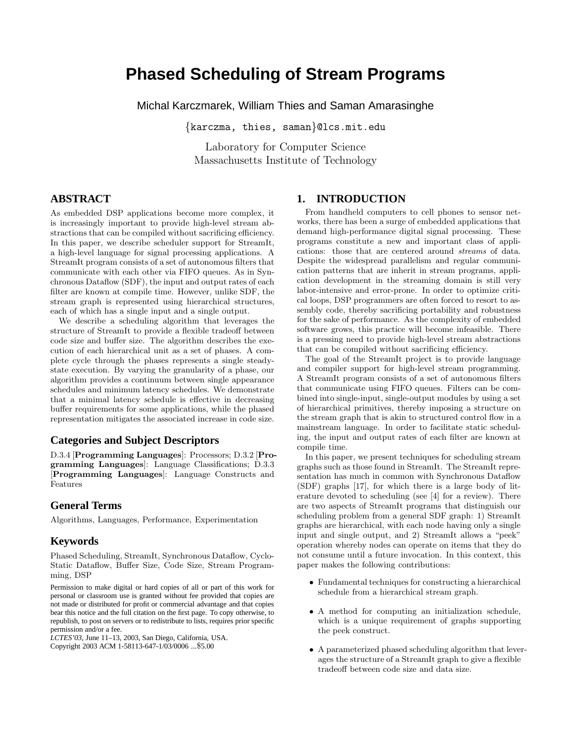# **Phased Scheduling of Stream Programs**

Michal Karczmarek, William Thies and Saman Amarasinghe

{karczma, thies, saman}@lcs.mit.edu

Laboratory for Computer Science Massachusetts Institute of Technology

# **ABSTRACT**

As embedded DSP applications become more complex, it is increasingly important to provide high-level stream abstractions that can be compiled without sacrificing efficiency. In this paper, we describe scheduler support for StreamIt, a high-level language for signal processing applications. A StreamIt program consists of a set of autonomous filters that communicate with each other via FIFO queues. As in Synchronous Dataflow (SDF), the input and output rates of each filter are known at compile time. However, unlike SDF, the stream graph is represented using hierarchical structures, each of which has a single input and a single output.

We describe a scheduling algorithm that leverages the structure of StreamIt to provide a flexible tradeoff between code size and buffer size. The algorithm describes the execution of each hierarchical unit as a set of phases. A complete cycle through the phases represents a single steadystate execution. By varying the granularity of a phase, our algorithm provides a continuum between single appearance schedules and minimum latency schedules. We demonstrate that a minimal latency schedule is effective in decreasing buffer requirements for some applications, while the phased representation mitigates the associated increase in code size.

# **Categories and Subject Descriptors**

D.3.4 [Programming Languages]: Processors; D.3.2 [Programming Languages]: Language Classifications; D.3.3 [Programming Languages]: Language Constructs and Features

# **General Terms**

Algorithms, Languages, Performance, Experimentation

# **Keywords**

Phased Scheduling, StreamIt, Synchronous Dataflow, Cyclo-Static Dataflow, Buffer Size, Code Size, Stream Programming, DSP

Permission to make digital or hard copies of all or part of this work for personal or classroom use is granted without fee provided that copies are not made or distributed for profit or commercial advantage and that copies bear this notice and the full citation on the first page. To copy otherwise, to republish, to post on servers or to redistribute to lists, requires prior specific permission and/or a fee.

*LCTES'03*, June 11–13, 2003, San Diego, California, USA. Copyright 2003 ACM 1-58113-647-1/03/0006 ...\$5.00

# **1. INTRODUCTION**

From handheld computers to cell phones to sensor networks, there has been a surge of embedded applications that demand high-performance digital signal processing. These programs constitute a new and important class of applications: those that are centered around streams of data. Despite the widespread parallelism and regular communication patterns that are inherit in stream programs, application development in the streaming domain is still very labor-intensive and error-prone. In order to optimize critical loops, DSP programmers are often forced to resort to assembly code, thereby sacrificing portability and robustness for the sake of performance. As the complexity of embedded software grows, this practice will become infeasible. There is a pressing need to provide high-level stream abstractions that can be compiled without sacrificing efficiency.

The goal of the StreamIt project is to provide language and compiler support for high-level stream programming. A StreamIt program consists of a set of autonomous filters that communicate using FIFO queues. Filters can be combined into single-input, single-output modules by using a set of hierarchical primitives, thereby imposing a structure on the stream graph that is akin to structured control flow in a mainstream language. In order to facilitate static scheduling, the input and output rates of each filter are known at compile time.

In this paper, we present techniques for scheduling stream graphs such as those found in StreamIt. The StreamIt representation has much in common with Synchronous Dataflow (SDF) graphs [17], for which there is a large body of literature devoted to scheduling (see [4] for a review). There are two aspects of StreamIt programs that distinguish our scheduling problem from a general SDF graph: 1) StreamIt graphs are hierarchical, with each node having only a single input and single output, and 2) StreamIt allows a "peek" operation whereby nodes can operate on items that they do not consume until a future invocation. In this context, this paper makes the following contributions:

- Fundamental techniques for constructing a hierarchical schedule from a hierarchical stream graph.
- A method for computing an initialization schedule, which is a unique requirement of graphs supporting the peek construct.
- A parameterized phased scheduling algorithm that leverages the structure of a StreamIt graph to give a flexible tradeoff between code size and data size.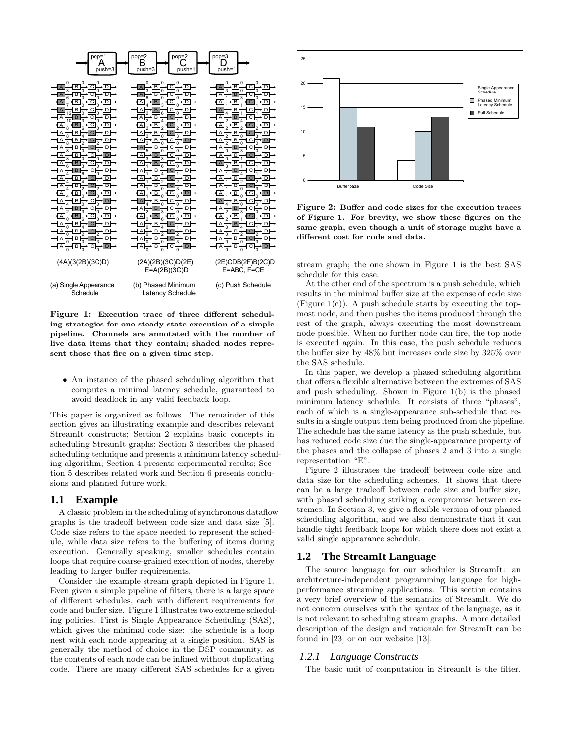

Figure 1: Execution trace of three different scheduling strategies for one steady state execution of a simple pipeline. Channels are annotated with the number of live data items that they contain; shaded nodes represent those that fire on a given time step.

• An instance of the phased scheduling algorithm that computes a minimal latency schedule, guaranteed to avoid deadlock in any valid feedback loop.

This paper is organized as follows. The remainder of this section gives an illustrating example and describes relevant StreamIt constructs; Section 2 explains basic concepts in scheduling StreamIt graphs; Section 3 describes the phased scheduling technique and presents a minimum latency scheduling algorithm; Section 4 presents experimental results; Section 5 describes related work and Section 6 presents conclusions and planned future work.

### **1.1 Example**

A classic problem in the scheduling of synchronous dataflow graphs is the tradeoff between code size and data size [5]. Code size refers to the space needed to represent the schedule, while data size refers to the buffering of items during execution. Generally speaking, smaller schedules contain loops that require coarse-grained execution of nodes, thereby leading to larger buffer requirements.

Consider the example stream graph depicted in Figure 1. Even given a simple pipeline of filters, there is a large space of different schedules, each with different requirements for code and buffer size. Figure 1 illustrates two extreme scheduling policies. First is Single Appearance Scheduling (SAS), which gives the minimal code size: the schedule is a loop nest with each node appearing at a single position. SAS is generally the method of choice in the DSP community, as the contents of each node can be inlined without duplicating code. There are many different SAS schedules for a given



Figure 2: Buffer and code sizes for the execution traces of Figure 1. For brevity, we show these figures on the same graph, even though a unit of storage might have a different cost for code and data.

stream graph; the one shown in Figure 1 is the best SAS schedule for this case.

At the other end of the spectrum is a push schedule, which results in the minimal buffer size at the expense of code size (Figure  $1(c)$ ). A push schedule starts by executing the topmost node, and then pushes the items produced through the rest of the graph, always executing the most downstream node possible. When no further node can fire, the top node is executed again. In this case, the push schedule reduces the buffer size by 48% but increases code size by 325% over the SAS schedule.

In this paper, we develop a phased scheduling algorithm that offers a flexible alternative between the extremes of SAS and push scheduling. Shown in Figure 1(b) is the phased minimum latency schedule. It consists of three "phases", each of which is a single-appearance sub-schedule that results in a single output item being produced from the pipeline. The schedule has the same latency as the push schedule, but has reduced code size due the single-appearance property of the phases and the collapse of phases 2 and 3 into a single representation "E".

Figure 2 illustrates the tradeoff between code size and data size for the scheduling schemes. It shows that there can be a large tradeoff between code size and buffer size, with phased scheduling striking a compromise between extremes. In Section 3, we give a flexible version of our phased scheduling algorithm, and we also demonstrate that it can handle tight feedback loops for which there does not exist a valid single appearance schedule.

#### **1.2 The StreamIt Language**

The source language for our scheduler is StreamIt: an architecture-independent programming language for highperformance streaming applications. This section contains a very brief overview of the semantics of StreamIt. We do not concern ourselves with the syntax of the language, as it is not relevant to scheduling stream graphs. A more detailed description of the design and rationale for StreamIt can be found in [23] or on our website [13].

#### *1.2.1 Language Constructs*

The basic unit of computation in StreamIt is the filter.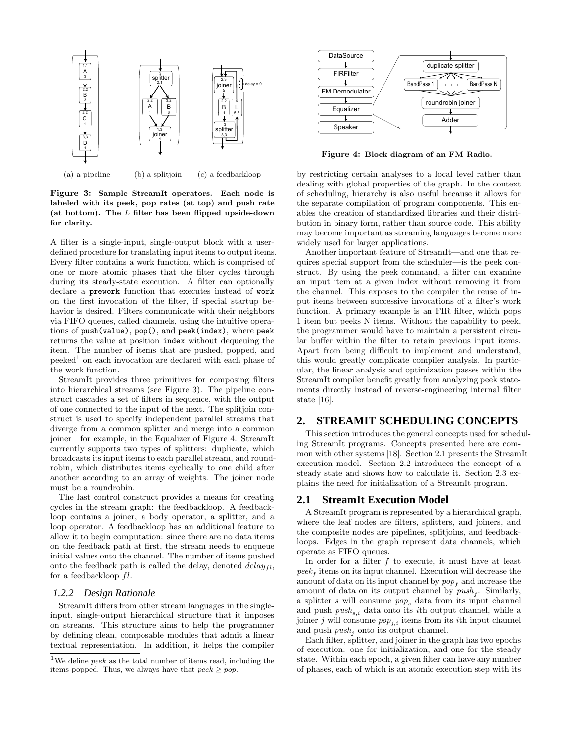

Figure 3: Sample StreamIt operators. Each node is labeled with its peek, pop rates (at top) and push rate (at bottom). The  $L$  filter has been flipped upside-down for clarity.

A filter is a single-input, single-output block with a userdefined procedure for translating input items to output items. Every filter contains a work function, which is comprised of one or more atomic phases that the filter cycles through during its steady-state execution. A filter can optionally declare a prework function that executes instead of work on the first invocation of the filter, if special startup behavior is desired. Filters communicate with their neighbors via FIFO queues, called channels, using the intuitive operations of push(value), pop(), and peek(index), where peek returns the value at position index without dequeuing the item. The number of items that are pushed, popped, and  $peeked<sup>1</sup>$  on each invocation are declared with each phase of the work function.

StreamIt provides three primitives for composing filters into hierarchical streams (see Figure 3). The pipeline construct cascades a set of filters in sequence, with the output of one connected to the input of the next. The splitjoin construct is used to specify independent parallel streams that diverge from a common splitter and merge into a common joiner—for example, in the Equalizer of Figure 4. StreamIt currently supports two types of splitters: duplicate, which broadcasts its input items to each parallel stream, and roundrobin, which distributes items cyclically to one child after another according to an array of weights. The joiner node must be a roundrobin.

The last control construct provides a means for creating cycles in the stream graph: the feedbackloop. A feedbackloop contains a joiner, a body operator, a splitter, and a loop operator. A feedbackloop has an additional feature to allow it to begin computation: since there are no data items on the feedback path at first, the stream needs to enqueue initial values onto the channel. The number of items pushed onto the feedback path is called the delay, denoted  $delay_{fl}$ , for a feedbackloop fl.

#### *1.2.2 Design Rationale*

StreamIt differs from other stream languages in the singleinput, single-output hierarchical structure that it imposes on streams. This structure aims to help the programmer by defining clean, composable modules that admit a linear textual representation. In addition, it helps the compiler



Figure 4: Block diagram of an FM Radio.

by restricting certain analyses to a local level rather than dealing with global properties of the graph. In the context of scheduling, hierarchy is also useful because it allows for the separate compilation of program components. This enables the creation of standardized libraries and their distribution in binary form, rather than source code. This ability may become important as streaming languages become more widely used for larger applications.

Another important feature of StreamIt—and one that requires special support from the scheduler—is the peek construct. By using the peek command, a filter can examine an input item at a given index without removing it from the channel. This exposes to the compiler the reuse of input items between successive invocations of a filter's work function. A primary example is an FIR filter, which pops 1 item but peeks N items. Without the capability to peek, the programmer would have to maintain a persistent circular buffer within the filter to retain previous input items. Apart from being difficult to implement and understand, this would greatly complicate compiler analysis. In particular, the linear analysis and optimization passes within the StreamIt compiler benefit greatly from analyzing peek statements directly instead of reverse-engineering internal filter state [16].

## **2. STREAMIT SCHEDULING CONCEPTS**

This section introduces the general concepts used for scheduling StreamIt programs. Concepts presented here are common with other systems [18]. Section 2.1 presents the StreamIt execution model. Section 2.2 introduces the concept of a steady state and shows how to calculate it. Section 2.3 explains the need for initialization of a StreamIt program.

# **2.1 StreamIt Execution Model**

A StreamIt program is represented by a hierarchical graph, where the leaf nodes are filters, splitters, and joiners, and the composite nodes are pipelines, splitjoins, and feedbackloops. Edges in the graph represent data channels, which operate as FIFO queues.

In order for a filter  $f$  to execute, it must have at least  $peek<sub>f</sub>$  items on its input channel. Execution will decrease the amount of data on its input channel by  $pop_f$  and increase the amount of data on its output channel by  $push_f$ . Similarly, a splitter  $s$  will consume  $pop_s$  data from its input channel and push  $push_{s,i}$  data onto its *i*th output channel, while a joiner j will consume  $pop_{j,i}$  items from its *i*th input channel and push  $push_j$  onto its output channel.

Each filter, splitter, and joiner in the graph has two epochs of execution: one for initialization, and one for the steady state. Within each epoch, a given filter can have any number of phases, each of which is an atomic execution step with its

<sup>&</sup>lt;sup>1</sup>We define *peek* as the total number of items read, including the items popped. Thus, we always have that  $peek \geq pop$ .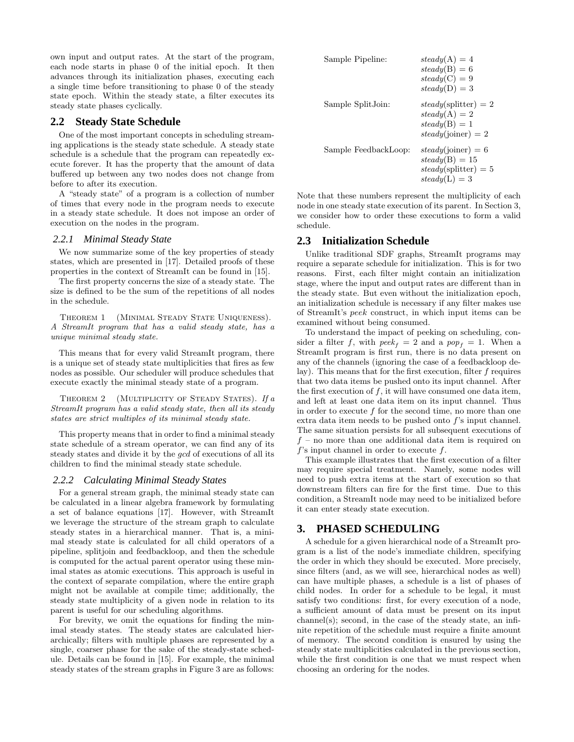own input and output rates. At the start of the program, each node starts in phase 0 of the initial epoch. It then advances through its initialization phases, executing each a single time before transitioning to phase 0 of the steady state epoch. Within the steady state, a filter executes its steady state phases cyclically.

### **2.2 Steady State Schedule**

One of the most important concepts in scheduling streaming applications is the steady state schedule. A steady state schedule is a schedule that the program can repeatedly execute forever. It has the property that the amount of data buffered up between any two nodes does not change from before to after its execution.

A "steady state" of a program is a collection of number of times that every node in the program needs to execute in a steady state schedule. It does not impose an order of execution on the nodes in the program.

#### *2.2.1 Minimal Steady State*

We now summarize some of the key properties of steady states, which are presented in [17]. Detailed proofs of these properties in the context of StreamIt can be found in [15].

The first property concerns the size of a steady state. The size is defined to be the sum of the repetitions of all nodes in the schedule.

THEOREM 1 (MINIMAL STEADY STATE UNIQUENESS). A StreamIt program that has a valid steady state, has a unique minimal steady state.

This means that for every valid StreamIt program, there is a unique set of steady state multiplicities that fires as few nodes as possible. Our scheduler will produce schedules that execute exactly the minimal steady state of a program.

THEOREM 2 (MULTIPLICITY OF STEADY STATES). If  $a$ StreamIt program has a valid steady state, then all its steady states are strict multiples of its minimal steady state.

This property means that in order to find a minimal steady state schedule of a stream operator, we can find any of its steady states and divide it by the gcd of executions of all its children to find the minimal steady state schedule.

#### *2.2.2 Calculating Minimal Steady States*

For a general stream graph, the minimal steady state can be calculated in a linear algebra framework by formulating a set of balance equations [17]. However, with StreamIt we leverage the structure of the stream graph to calculate steady states in a hierarchical manner. That is, a minimal steady state is calculated for all child operators of a pipeline, splitjoin and feedbackloop, and then the schedule is computed for the actual parent operator using these minimal states as atomic executions. This approach is useful in the context of separate compilation, where the entire graph might not be available at compile time; additionally, the steady state multiplicity of a given node in relation to its parent is useful for our scheduling algorithms.

For brevity, we omit the equations for finding the minimal steady states. The steady states are calculated hierarchically; filters with multiple phases are represented by a single, coarser phase for the sake of the steady-state schedule. Details can be found in [15]. For example, the minimal steady states of the stream graphs in Figure 3 are as follows:

Sample Pipeline:

\n
$$
steady(A) = 4
$$
\n
$$
steady(B) = 6
$$
\n
$$
steady(C) = 9
$$
\n
$$
steady(D) = 3
$$
\nSample SplitJoin:

\n
$$
steady(splitter) = 2
$$
\n
$$
steady(B) = 1
$$
\n
$$
steady(Solner) = 2
$$
\nSample FeedbackLoop:

\n
$$
steady(joner) = 6
$$
\n
$$
steady(B) = 15
$$
\n
$$
steady(splitter) = 5
$$
\n
$$
steady(splitter) = 5
$$
\n
$$
steady(Splitter) = 5
$$
\n
$$
steady(D) = 3
$$

Note that these numbers represent the multiplicity of each node in one steady state execution of its parent. In Section 3, we consider how to order these executions to form a valid schedule.

# **2.3 Initialization Schedule**

Unlike traditional SDF graphs, StreamIt programs may require a separate schedule for initialization. This is for two reasons. First, each filter might contain an initialization stage, where the input and output rates are different than in the steady state. But even without the initialization epoch, an initialization schedule is necessary if any filter makes use of StreamIt's peek construct, in which input items can be examined without being consumed.

To understand the impact of peeking on scheduling, consider a filter f, with  $peek_f = 2$  and a  $pop_f = 1$ . When a StreamIt program is first run, there is no data present on any of the channels (ignoring the case of a feedbackloop delay). This means that for the first execution, filter  $f$  requires that two data items be pushed onto its input channel. After the first execution of  $f$ , it will have consumed one data item, and left at least one data item on its input channel. Thus in order to execute  $f$  for the second time, no more than one extra data item needs to be pushed onto f's input channel. The same situation persists for all subsequent executions of  $f$  – no more than one additional data item is required on f's input channel in order to execute f.

This example illustrates that the first execution of a filter may require special treatment. Namely, some nodes will need to push extra items at the start of execution so that downstream filters can fire for the first time. Due to this condition, a StreamIt node may need to be initialized before it can enter steady state execution.

# **3. PHASED SCHEDULING**

A schedule for a given hierarchical node of a StreamIt program is a list of the node's immediate children, specifying the order in which they should be executed. More precisely, since filters (and, as we will see, hierarchical nodes as well) can have multiple phases, a schedule is a list of phases of child nodes. In order for a schedule to be legal, it must satisfy two conditions: first, for every execution of a node, a sufficient amount of data must be present on its input channel(s); second, in the case of the steady state, an infinite repetition of the schedule must require a finite amount of memory. The second condition is ensured by using the steady state multiplicities calculated in the previous section, while the first condition is one that we must respect when choosing an ordering for the nodes.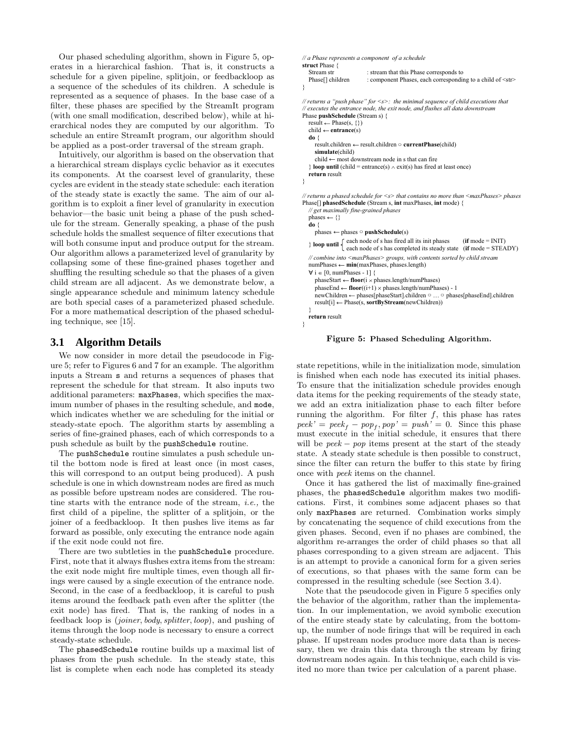Our phased scheduling algorithm, shown in Figure 5, operates in a hierarchical fashion. That is, it constructs a schedule for a given pipeline, splitjoin, or feedbackloop as a sequence of the schedules of its children. A schedule is represented as a sequence of phases. In the base case of a filter, these phases are specified by the StreamIt program (with one small modification, described below), while at hierarchical nodes they are computed by our algorithm. To schedule an entire StreamIt program, our algorithm should be applied as a post-order traversal of the stream graph.

Intuitively, our algorithm is based on the observation that a hierarchical stream displays cyclic behavior as it executes its components. At the coarsest level of granularity, these cycles are evident in the steady state schedule: each iteration of the steady state is exactly the same. The aim of our algorithm is to exploit a finer level of granularity in execution behavior—the basic unit being a phase of the push schedule for the stream. Generally speaking, a phase of the push schedule holds the smallest sequence of filter executions that will both consume input and produce output for the stream. Our algorithm allows a parameterized level of granularity by collapsing some of these fine-grained phases together and shuffling the resulting schedule so that the phases of a given child stream are all adjacent. As we demonstrate below, a single appearance schedule and minimum latency schedule are both special cases of a parameterized phased schedule. For a more mathematical description of the phased scheduling technique, see [15].

### **3.1 Algorithm Details**

We now consider in more detail the pseudocode in Figure 5; refer to Figures 6 and 7 for an example. The algorithm inputs a Stream s and returns a sequences of phases that represent the schedule for that stream. It also inputs two additional parameters: maxPhases, which specifies the maximum number of phases in the resulting schedule, and mode, which indicates whether we are scheduling for the initial or steady-state epoch. The algorithm starts by assembling a series of fine-grained phases, each of which corresponds to a push schedule as built by the pushSchedule routine.

The pushSchedule routine simulates a push schedule until the bottom node is fired at least once (in most cases, this will correspond to an output being produced). A push schedule is one in which downstream nodes are fired as much as possible before upstream nodes are considered. The routine starts with the entrance node of the stream, i.e., the first child of a pipeline, the splitter of a splitioin, or the joiner of a feedbackloop. It then pushes live items as far forward as possible, only executing the entrance node again if the exit node could not fire.

There are two subtleties in the pushSchedule procedure. First, note that it always flushes extra items from the stream: the exit node might fire multiple times, even though all firings were caused by a single execution of the entrance node. Second, in the case of a feedbackloop, it is careful to push items around the feedback path even after the splitter (the exit node) has fired. That is, the ranking of nodes in a feedback loop is (joiner, body, splitter, loop), and pushing of items through the loop node is necessary to ensure a correct steady-state schedule.

The phasedSchedule routine builds up a maximal list of phases from the push schedule. In the steady state, this list is complete when each node has completed its steady

```
// a Phase represents a component of a schedule
struct Phase {
  Stream str is the stream that this Phase corresponds to<br>
Phase [] children : component Phases, each corresponding
                              : component Phases, each corresponding to a child of \leqstr>}
// returns a "push phase" for \leq s>: the minimal sequence of child executions that
// executes the entrance node, the exit node, and flushes all data downstream
Phase pushSchedule (Stream s) {
  result \leftarrow Phase(s, \{\})child \leftarrow entrance(s)
  do {
      result.children ← result.children ○ currentPhase(child)
     simulate(child)
     child \leftarrow most downstream node in s that can fire
   } loop until (child = entrance(s) \land exit(s) has fired at least once)
  return result
}
// returns a phased schedule for \leq s that contains no more than \leq maxPhases > phases
Phase[] phasedSchedule (Stream s, int maxPhases, int mode) {
  // get maximally fine-grained phases
  phases \leftarrow \{\}do {
      phases \leftarrow phases \circ pushSchedule(s)} loop until \begin{cases} each node of s has fired all its init phases (if mode = INIT) \begin{cases} each node of s has completed its steady state (if mode = STEADY)
  // combine into <maxPhases> groups, with contents sorted by child stream
  numPhases \leftarrow min(maxPhases, phases.length)\forall i \in [0, numPhases - 1] {
     phaseStart \leftarrow floor(i \times phases.length/numPhases)
     \text{phaseEnd} \xleftarrow{} \textbf{floor}((i+1) \times \text{phases.length/numPhases}) - 1newChildren ← phases[phaseStart].children o ... o phases[phaseEnd].children
     result[i] \leftarrow Phase(s, sortByStream(newChildren))}
  return result
```
#### Figure 5: Phased Scheduling Algorithm.

}

state repetitions, while in the initialization mode, simulation is finished when each node has executed its initial phases. To ensure that the initialization schedule provides enough data items for the peeking requirements of the steady state, we add an extra initialization phase to each filter before running the algorithm. For filter  $f$ , this phase has rates  $peek' = peek_f - pop_f, pop' = push' = 0$ . Since this phase must execute in the initial schedule, it ensures that there will be  $peek - pop$  items present at the start of the steady state. A steady state schedule is then possible to construct, since the filter can return the buffer to this state by firing once with peek items on the channel.

Once it has gathered the list of maximally fine-grained phases, the phasedSchedule algorithm makes two modifications. First, it combines some adjacent phases so that only maxPhases are returned. Combination works simply by concatenating the sequence of child executions from the given phases. Second, even if no phases are combined, the algorithm re-arranges the order of child phases so that all phases corresponding to a given stream are adjacent. This is an attempt to provide a canonical form for a given series of executions, so that phases with the same form can be compressed in the resulting schedule (see Section 3.4).

Note that the pseudocode given in Figure 5 specifies only the behavior of the algorithm, rather than the implementation. In our implementation, we avoid symbolic execution of the entire steady state by calculating, from the bottomup, the number of node firings that will be required in each phase. If upstream nodes produce more data than is necessary, then we drain this data through the stream by firing downstream nodes again. In this technique, each child is visited no more than twice per calculation of a parent phase.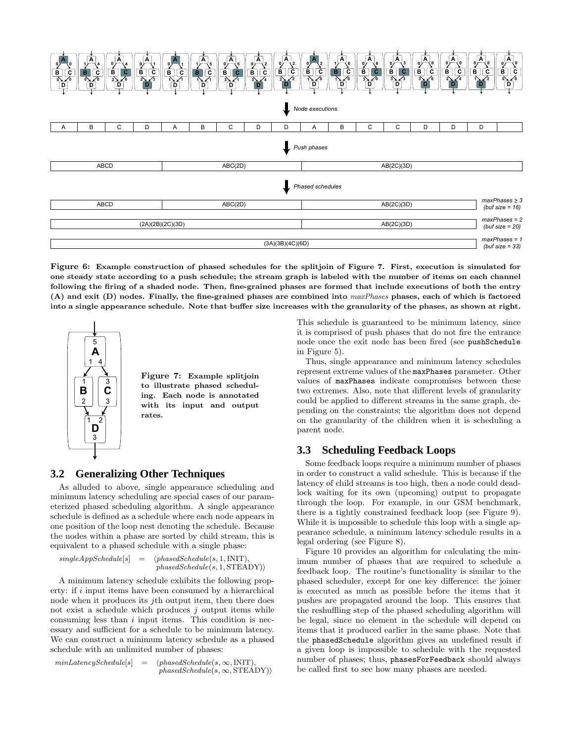

Figure 6: Example construction of phased schedules for the splitjoin of Figure 7. First, execution is simulated for one steady state according to a push schedule; the stream graph is labeled with the number of items on each channel following the firing of a shaded node. Then, fine-grained phases are formed that include executions of both the entry (A) and exit (D) nodes. Finally, the fine-grained phases are combined into maxPhases phases, each of which is factored into a single appearance schedule. Note that buffer size increases with the granularity of the phases, as shown at right.



Figure 7: Example splitjoin to illustrate phased scheduling. Each node is annotated with its input and output rates.

# **3.2 Generalizing Other Techniques**

As alluded to above, single appearance scheduling and minimum latency scheduling are special cases of our parameterized phased scheduling algorithm. A single appearance schedule is defined as a schedule where each node appears in one position of the loop nest denoting the schedule. Because the nodes within a phase are sorted by child stream, this is equivalent to a phased schedule with a single phase:

 $singleAppSchedule[s] = \langle phasedSchedule(s, 1, INIT),$  $phasedSchedule(s, 1, STEADY)\rangle$ 

A minimum latency schedule exhibits the following property: if i input items have been consumed by a hierarchical node when it produces its *j*th output item, then there does not exist a schedule which produces  $j$  output items while consuming less than  $i$  input items. This condition is necessary and sufficient for a schedule to be minimum latency. We can construct a minimum latency schedule as a phased schedule with an unlimited number of phases:

$$
minLatencyScheduling = \langle phasedSchedule(s, \infty, \text{INIT}), \rangle
$$
  
\n
$$
phasedSchedule(s, \infty, \text{STEADV})
$$

This schedule is guaranteed to be minimum latency, since it is comprised of push phases that do not fire the entrance node once the exit node has been fired (see pushSchedule in Figure 5).

Thus, single appearance and minimum latency schedules represent extreme values of the maxPhases parameter. Other values of maxPhases indicate compromises between these two extremes. Also, note that different levels of granularity could be applied to different streams in the same graph, depending on the constraints; the algorithm does not depend on the granularity of the children when it is scheduling a parent node.

# **3.3 Scheduling Feedback Loops**

Some feedback loops require a minimum number of phases in order to construct a valid schedule. This is because if the latency of child streams is too high, then a node could deadlock waiting for its own (upcoming) output to propagate through the loop. For example, in our GSM benchmark, there is a tightly constrained feedback loop (see Figure 9). While it is impossible to schedule this loop with a single appearance schedule, a minimum latency schedule results in a legal ordering (see Figure 8).

Figure 10 provides an algorithm for calculating the minimum number of phases that are required to schedule a feedback loop. The routine's functionality is similar to the phased scheduler, except for one key difference: the joiner is executed as much as possible before the items that it pushes are propagated around the loop. This ensures that the reshuffling step of the phased scheduling algorithm will be legal, since no element in the schedule will depend on items that it produced earlier in the same phase. Note that the phasedSchedule algorithm gives an undefined result if a given loop is impossible to schedule with the requested number of phases; thus, phasesForFeedback should always be called first to see how many phases are needed.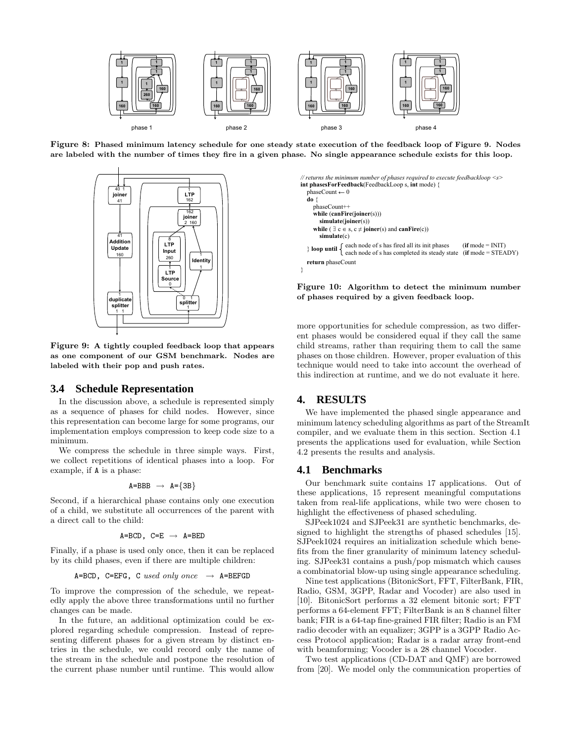

Figure 8: Phased minimum latency schedule for one steady state execution of the feedback loop of Figure 9. Nodes are labeled with the number of times they fire in a given phase. No single appearance schedule exists for this loop.



Figure 9: A tightly coupled feedback loop that appears as one component of our GSM benchmark. Nodes are labeled with their pop and push rates.

# **3.4 Schedule Representation**

In the discussion above, a schedule is represented simply as a sequence of phases for child nodes. However, since this representation can become large for some programs, our implementation employs compression to keep code size to a minimum.

We compress the schedule in three simple ways. First, we collect repetitions of identical phases into a loop. For example, if A is a phase:

$$
A=BBB \rightarrow A=\{3B\}
$$

Second, if a hierarchical phase contains only one execution of a child, we substitute all occurrences of the parent with a direct call to the child:

#### $A=BCD$ ,  $C=E \rightarrow A=BED$

Finally, if a phase is used only once, then it can be replaced by its child phases, even if there are multiple children:

A=BCD, C=EFG, C used only once 
$$
\rightarrow
$$
 A=BEFGD

To improve the compression of the schedule, we repeatedly apply the above three transformations until no further changes can be made.

In the future, an additional optimization could be explored regarding schedule compression. Instead of representing different phases for a given stream by distinct entries in the schedule, we could record only the name of the stream in the schedule and postpone the resolution of the current phase number until runtime. This would allow

```
// returns the minimum number of phases required to execute feedbackloop \leq sint phasesForFeedback(FeedbackLoop s, int mode) {
   phaseCount \leftarrow 0
   do {
      phaseCount++
      while (canFire(joiner(s)))
        simulate(joiner(s))
       while (\exists c \in s, c \neq \text{joiner}(s) \text{ and } \text{canFire}(c))simulate(c)
   } loop until \begin{cases} each node of s has fired all its init phases (if mode = INIT) \begin{cases} each node of s has completed its steady state (if mode = STEADY)
   return phaseCount
}
```
Figure 10: Algorithm to detect the minimum number of phases required by a given feedback loop.

more opportunities for schedule compression, as two different phases would be considered equal if they call the same child streams, rather than requiring them to call the same phases on those children. However, proper evaluation of this technique would need to take into account the overhead of this indirection at runtime, and we do not evaluate it here.

# **4. RESULTS**

We have implemented the phased single appearance and minimum latency scheduling algorithms as part of the StreamIt compiler, and we evaluate them in this section. Section 4.1 presents the applications used for evaluation, while Section 4.2 presents the results and analysis.

# **4.1 Benchmarks**

Our benchmark suite contains 17 applications. Out of these applications, 15 represent meaningful computations taken from real-life applications, while two were chosen to highlight the effectiveness of phased scheduling.

SJPeek1024 and SJPeek31 are synthetic benchmarks, designed to highlight the strengths of phased schedules [15]. SJPeek1024 requires an initialization schedule which benefits from the finer granularity of minimum latency scheduling. SJPeek31 contains a push/pop mismatch which causes a combinatorial blow-up using single appearance scheduling.

Nine test applications (BitonicSort, FFT, FilterBank, FIR, Radio, GSM, 3GPP, Radar and Vocoder) are also used in [10]. BitonicSort performs a 32 element bitonic sort; FFT performs a 64-element FFT; FilterBank is an 8 channel filter bank; FIR is a 64-tap fine-grained FIR filter; Radio is an FM radio decoder with an equalizer; 3GPP is a 3GPP Radio Access Protocol application; Radar is a radar array front-end with beamforming; Vocoder is a 28 channel Vocoder.

Two test applications (CD-DAT and QMF) are borrowed from [20]. We model only the communication properties of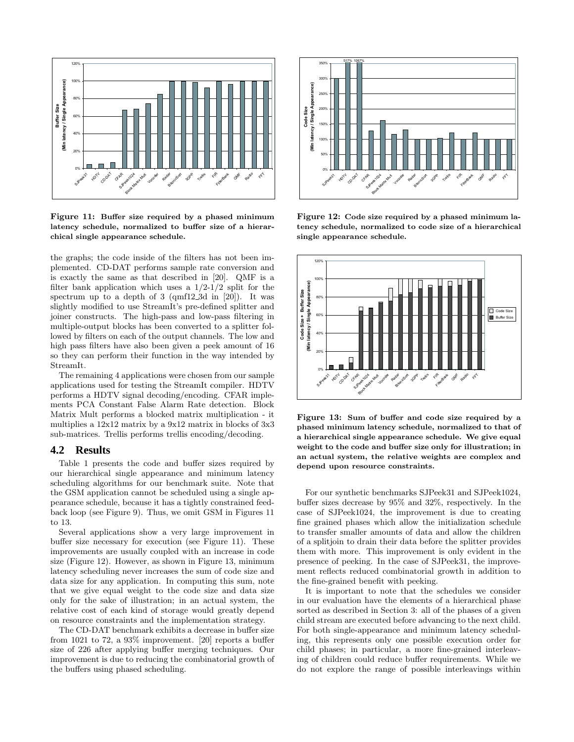

Figure 11: Buffer size required by a phased minimum latency schedule, normalized to buffer size of a hierarchical single appearance schedule.

the graphs; the code inside of the filters has not been implemented. CD-DAT performs sample rate conversion and is exactly the same as that described in [20]. QMF is a filter bank application which uses a  $1/2-1/2$  split for the spectrum up to a depth of 3 ( $\alpha$ mf12.3d in [20]). It was slightly modified to use StreamIt's pre-defined splitter and joiner constructs. The high-pass and low-pass filtering in multiple-output blocks has been converted to a splitter followed by filters on each of the output channels. The low and high pass filters have also been given a peek amount of 16 so they can perform their function in the way intended by StreamIt.

The remaining 4 applications were chosen from our sample applications used for testing the StreamIt compiler. HDTV performs a HDTV signal decoding/encoding. CFAR implements PCA Constant False Alarm Rate detection. Block Matrix Mult performs a blocked matrix multiplication - it multiplies a 12x12 matrix by a 9x12 matrix in blocks of 3x3 sub-matrices. Trellis performs trellis encoding/decoding.

### **4.2 Results**

Table 1 presents the code and buffer sizes required by our hierarchical single appearance and minimum latency scheduling algorithms for our benchmark suite. Note that the GSM application cannot be scheduled using a single appearance schedule, because it has a tightly constrained feedback loop (see Figure 9). Thus, we omit GSM in Figures 11 to 13.

Several applications show a very large improvement in buffer size necessary for execution (see Figure 11). These improvements are usually coupled with an increase in code size (Figure 12). However, as shown in Figure 13, minimum latency scheduling never increases the sum of code size and data size for any application. In computing this sum, note that we give equal weight to the code size and data size only for the sake of illustration; in an actual system, the relative cost of each kind of storage would greatly depend on resource constraints and the implementation strategy.

The CD-DAT benchmark exhibits a decrease in buffer size from 1021 to 72, a 93% improvement. [20] reports a buffer size of 226 after applying buffer merging techniques. Our improvement is due to reducing the combinatorial growth of the buffers using phased scheduling.



Figure 12: Code size required by a phased minimum latency schedule, normalized to code size of a hierarchical single appearance schedule.



Figure 13: Sum of buffer and code size required by a phased minimum latency schedule, normalized to that of a hierarchical single appearance schedule. We give equal weight to the code and buffer size only for illustration; in an actual system, the relative weights are complex and depend upon resource constraints.

For our synthetic benchmarks SJPeek31 and SJPeek1024, buffer sizes decrease by 95% and 32%, respectively. In the case of SJPeek1024, the improvement is due to creating fine grained phases which allow the initialization schedule to transfer smaller amounts of data and allow the children of a splitjoin to drain their data before the splitter provides them with more. This improvement is only evident in the presence of peeking. In the case of SJPeek31, the improvement reflects reduced combinatorial growth in addition to the fine-grained benefit with peeking.

It is important to note that the schedules we consider in our evaluation have the elements of a hierarchical phase sorted as described in Section 3: all of the phases of a given child stream are executed before advancing to the next child. For both single-appearance and minimum latency scheduling, this represents only one possible execution order for child phases; in particular, a more fine-grained interleaving of children could reduce buffer requirements. While we do not explore the range of possible interleavings within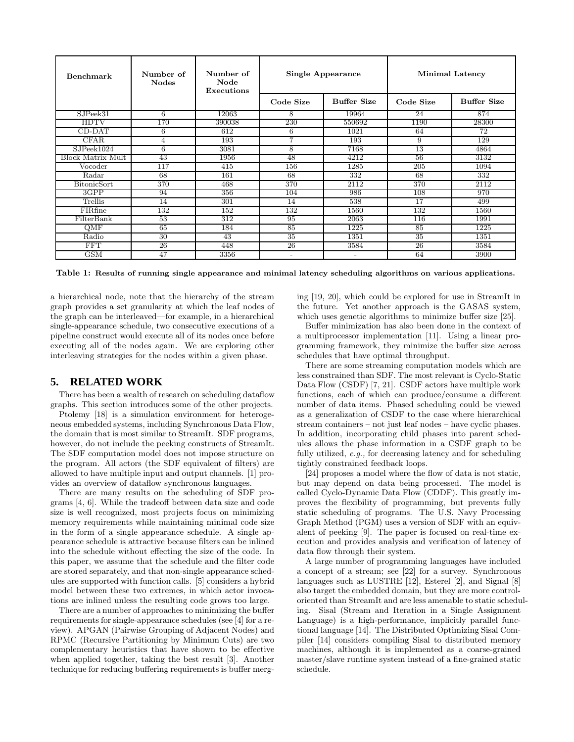| <b>Benchmark</b>   | Number of<br><b>Nodes</b> | Number of<br>Node<br>Executions | <b>Single Appearance</b> |                          | <b>Minimal Latency</b> |                    |
|--------------------|---------------------------|---------------------------------|--------------------------|--------------------------|------------------------|--------------------|
|                    |                           |                                 | Code Size                | <b>Buffer Size</b>       | Code Size              | <b>Buffer Size</b> |
| SJPeek31           | 6                         | 12063                           | 8                        | 19964                    | 24                     | 874                |
| <b>HDTV</b>        | 170                       | 390038                          | 230                      | 550692                   | 1190                   | 28300              |
| $CD-DAT$           | 6                         | 612                             | 6                        | 1021                     | 64                     | 72                 |
| <b>CFAR</b>        | 4                         | 193                             | 7                        | 193                      | 9                      | 129                |
| SJPeek1024         | 6                         | 3081                            | 8                        | 7168                     | 13                     | 4864               |
| Block Matrix Mult  | 43                        | 1956                            | 48                       | 4212                     | 56                     | 3132               |
| Vocoder            | 117                       | 415                             | 156                      | 1285                     | 205                    | 1094               |
| Radar              | 68                        | 161                             | 68                       | 332                      | 68                     | 332                |
| <b>BitonicSort</b> | 370                       | 468                             | 370                      | 2112                     | 370                    | 2112               |
| 3GPP               | 94                        | 356                             | 104                      | 986                      | 108                    | 970                |
| Trellis            | 14                        | 301                             | 14                       | 538                      | 17                     | 499                |
| FIRfine            | 132                       | 152                             | 132                      | 1560                     | 132                    | 1560               |
| FilterBank         | 53                        | 312                             | 95                       | 2063                     | 116                    | 1991               |
| QMF                | 65                        | 184                             | 85                       | 1225                     | 85                     | 1225               |
| Radio              | 30                        | 43                              | 35                       | 1351                     | 35                     | 1351               |
| FFT                | 26                        | 448                             | 26                       | 3584                     | 26                     | 3584               |
| GSM                | 47                        | 3356                            | $\overline{\phantom{0}}$ | $\overline{\phantom{a}}$ | 64                     | 3900               |

Table 1: Results of running single appearance and minimal latency scheduling algorithms on various applications.

a hierarchical node, note that the hierarchy of the stream graph provides a set granularity at which the leaf nodes of the graph can be interleaved—for example, in a hierarchical single-appearance schedule, two consecutive executions of a pipeline construct would execute all of its nodes once before executing all of the nodes again. We are exploring other interleaving strategies for the nodes within a given phase.

# **5. RELATED WORK**

There has been a wealth of research on scheduling dataflow graphs. This section introduces some of the other projects.

Ptolemy [18] is a simulation environment for heterogeneous embedded systems, including Synchronous Data Flow, the domain that is most similar to StreamIt. SDF programs, however, do not include the peeking constructs of StreamIt. The SDF computation model does not impose structure on the program. All actors (the SDF equivalent of filters) are allowed to have multiple input and output channels. [1] provides an overview of dataflow synchronous languages.

There are many results on the scheduling of SDF programs [4, 6]. While the tradeoff between data size and code size is well recognized, most projects focus on minimizing memory requirements while maintaining minimal code size in the form of a single appearance schedule. A single appearance schedule is attractive because filters can be inlined into the schedule without effecting the size of the code. In this paper, we assume that the schedule and the filter code are stored separately, and that non-single appearance schedules are supported with function calls. [5] considers a hybrid model between these two extremes, in which actor invocations are inlined unless the resulting code grows too large.

There are a number of approaches to minimizing the buffer requirements for single-appearance schedules (see [4] for a review). APGAN (Pairwise Grouping of Adjacent Nodes) and RPMC (Recursive Partitioning by Minimum Cuts) are two complementary heuristics that have shown to be effective when applied together, taking the best result [3]. Another technique for reducing buffering requirements is buffer merging [19, 20], which could be explored for use in StreamIt in the future. Yet another approach is the GASAS system, which uses genetic algorithms to minimize buffer size [25].

Buffer minimization has also been done in the context of a multiprocessor implementation [11]. Using a linear programming framework, they minimize the buffer size across schedules that have optimal throughput.

There are some streaming computation models which are less constrained than SDF. The most relevant is Cyclo-Static Data Flow (CSDF) [7, 21]. CSDF actors have multiple work functions, each of which can produce/consume a different number of data items. Phased scheduling could be viewed as a generalization of CSDF to the case where hierarchical stream containers – not just leaf nodes – have cyclic phases. In addition, incorporating child phases into parent schedules allows the phase information in a CSDF graph to be fully utilized, e.g., for decreasing latency and for scheduling tightly constrained feedback loops.

[24] proposes a model where the flow of data is not static, but may depend on data being processed. The model is called Cyclo-Dynamic Data Flow (CDDF). This greatly improves the flexibility of programming, but prevents fully static scheduling of programs. The U.S. Navy Processing Graph Method (PGM) uses a version of SDF with an equivalent of peeking [9]. The paper is focused on real-time execution and provides analysis and verification of latency of data flow through their system.

A large number of programming languages have included a concept of a stream; see [22] for a survey. Synchronous languages such as LUSTRE [12], Esterel [2], and Signal [8] also target the embedded domain, but they are more controloriented than StreamIt and are less amenable to static scheduling. Sisal (Stream and Iteration in a Single Assignment Language) is a high-performance, implicitly parallel functional language [14]. The Distributed Optimizing Sisal Compiler [14] considers compiling Sisal to distributed memory machines, although it is implemented as a coarse-grained master/slave runtime system instead of a fine-grained static schedule.